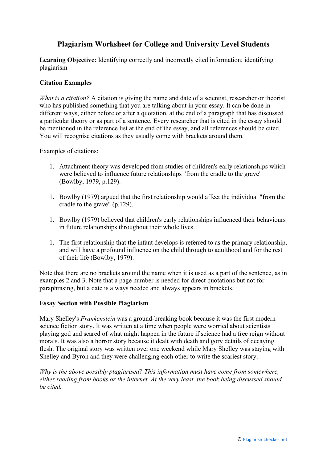# **Plagiarism Worksheet for College and University Level Students**

**Learning Objective:** Identifying correctly and incorrectly cited information; identifying plagiarism

### **Citation Examples**

*What is a citation?* A citation is giving the name and date of a scientist, researcher or theorist who has published something that you are talking about in your essay. It can be done in different ways, either before or after a quotation, at the end of a paragraph that has discussed a particular theory or as part of a sentence. Every researcher that is cited in the essay should be mentioned in the reference list at the end of the essay, and all references should be cited. You will recognise citations as they usually come with brackets around them.

Examples of citations:

- 1. Attachment theory was developed from studies of children's early relationships which were believed to influence future relationships "from the cradle to the grave" (Bowlby, 1979, p.129).
- 1. Bowlby (1979) argued that the first relationship would affect the individual "from the cradle to the grave" (p.129).
- 1. Bowlby (1979) believed that children's early relationships influenced their behaviours in future relationships throughout their whole lives.
- 1. The first relationship that the infant develops is referred to as the primary relationship, and will have a profound influence on the child through to adulthood and for the rest of their life (Bowlby, 1979).

Note that there are no brackets around the name when it is used as a part of the sentence, as in examples 2 and 3. Note that a page number is needed for direct quotations but not for paraphrasing, but a date is always needed and always appears in brackets.

#### **Essay Section with Possible Plagiarism**

Mary Shelley's *Frankenstein* was a ground-breaking book because it was the first modern science fiction story. It was written at a time when people were worried about scientists playing god and scared of what might happen in the future if science had a free reign without morals. It was also a horror story because it dealt with death and gory details of decaying flesh. The original story was written over one weekend while Mary Shelley was staying with Shelley and Byron and they were challenging each other to write the scariest story.

*Why is the above possibly plagiarised? This information must have come from somewhere, either reading from books or the internet. At the very least, the book being discussed should be cited.*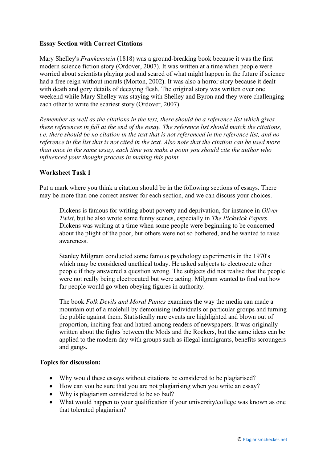#### **Essay Section with Correct Citations**

Mary Shelley's *Frankenstein* (1818) was a ground-breaking book because it was the first modern science fiction story (Ordover, 2007). It was written at a time when people were worried about scientists playing god and scared of what might happen in the future if science had a free reign without morals (Morton, 2002). It was also a horror story because it dealt with death and gory details of decaying flesh. The original story was written over one weekend while Mary Shelley was staying with Shelley and Byron and they were challenging each other to write the scariest story (Ordover, 2007).

*Remember as well as the citations in the text, there should be a reference list which gives these references in full at the end of the essay. The reference list should match the citations, i.e. there should be no citation in the text that is not referenced in the reference list, and no reference in the list that is not cited in the text. Also note that the citation can be used more than once in the same essay, each time you make a point you should cite the author who influenced your thought process in making this point.*

#### **Worksheet Task 1**

Put a mark where you think a citation should be in the following sections of essays. There may be more than one correct answer for each section, and we can discuss your choices.

Dickens is famous for writing about poverty and deprivation, for instance in *Oliver Twist*, but he also wrote some funny scenes, especially in *The Pickwick Papers*. Dickens was writing at a time when some people were beginning to be concerned about the plight of the poor, but others were not so bothered, and he wanted to raise awareness.

Stanley Milgram conducted some famous psychology experiments in the 1970's which may be considered unethical today. He asked subjects to electrocute other people if they answered a question wrong. The subjects did not realise that the people were not really being electrocuted but were acting. Milgram wanted to find out how far people would go when obeying figures in authority.

The book *Folk Devils and Moral Panics* examines the way the media can made a mountain out of a molehill by demonising individuals or particular groups and turning the public against them. Statistically rare events are highlighted and blown out of proportion, inciting fear and hatred among readers of newspapers. It was originally written about the fights between the Mods and the Rockers, but the same ideas can be applied to the modern day with groups such as illegal immigrants, benefits scroungers and gangs.

#### **Topics for discussion:**

- Why would these essays without citations be considered to be plagiarised?
- How can you be sure that you are not plagiarising when you write an essay?
- Why is plagiarism considered to be so bad?
- What would happen to your qualification if your university/college was known as one that tolerated plagiarism?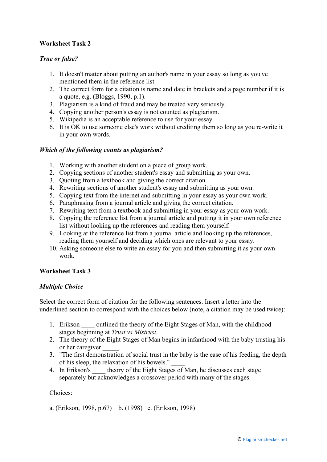# **Worksheet Task 2**

#### *True or false?*

- 1. It doesn't matter about putting an author's name in your essay so long as you've mentioned them in the reference list.
- 2. The correct form for a citation is name and date in brackets and a page number if it is a quote, e.g. (Bloggs, 1990, p.1).
- 3. Plagiarism is a kind of fraud and may be treated very seriously.
- 4. Copying another person's essay is not counted as plagiarism.
- 5. Wikipedia is an acceptable reference to use for your essay.
- 6. It is OK to use someone else's work without crediting them so long as you re-write it in your own words.

#### *Which of the following counts as plagiarism?*

- 1. Working with another student on a piece of group work.
- 2. Copying sections of another student's essay and submitting as your own.
- 3. Quoting from a textbook and giving the correct citation.
- 4. Rewriting sections of another student's essay and submitting as your own.
- 5. Copying text from the internet and submitting in your essay as your own work.
- 6. Paraphrasing from a journal article and giving the correct citation.
- 7. Rewriting text from a textbook and submitting in your essay as your own work.
- 8. Copying the reference list from a journal article and putting it in your own reference list without looking up the references and reading them yourself.
- 9. Looking at the reference list from a journal article and looking up the references, reading them yourself and deciding which ones are relevant to your essay.
- 10. Asking someone else to write an essay for you and then submitting it as your own work.

#### **Worksheet Task 3**

# *Multiple Choice*

Select the correct form of citation for the following sentences. Insert a letter into the underlined section to correspond with the choices below (note, a citation may be used twice):

- 1. Erikson outlined the theory of the Eight Stages of Man, with the childhood stages beginning at *Trust vs Mistrust*.
- 2. The theory of the Eight Stages of Man begins in infanthood with the baby trusting his or her caregiver
- 3. "The first demonstration of social trust in the baby is the ease of his feeding, the depth of his sleep, the relaxation of his bowels." \_\_\_\_
- 4. In Erikson's theory of the Eight Stages of Man, he discusses each stage separately but acknowledges a crossover period with many of the stages.

#### Choices:

a. (Erikson, 1998, p.67) b. (1998) c. (Erikson, 1998)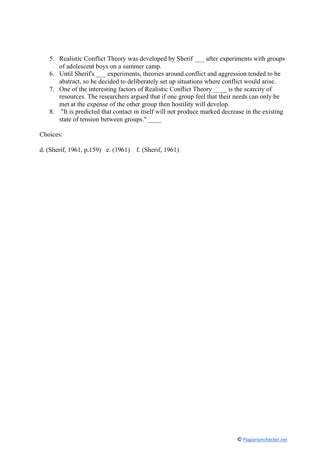- 5. Realistic Conflict Theory was developed by Sherif after experiments with groups of adolescent boys on a summer camp.
- 6. Until Sherif's experiments, theories around conflict and aggression tended to be abstract, so he decided to deliberately set up situations where conflict would arise.
- 7. One of the interesting factors of Realistic Conflict Theory \_\_\_\_\_ is the scarcity of resources. The researchers argued that if one group feel that their needs can only be met at the expense of the other group then hostility will develop.
- 8. "It is predicted that contact in itself will not produce marked decrease in the existing state of tension between groups."

Choices:

d. (Sherif, 1961, p.159) e. (1961) f. (Sherif, 1961)